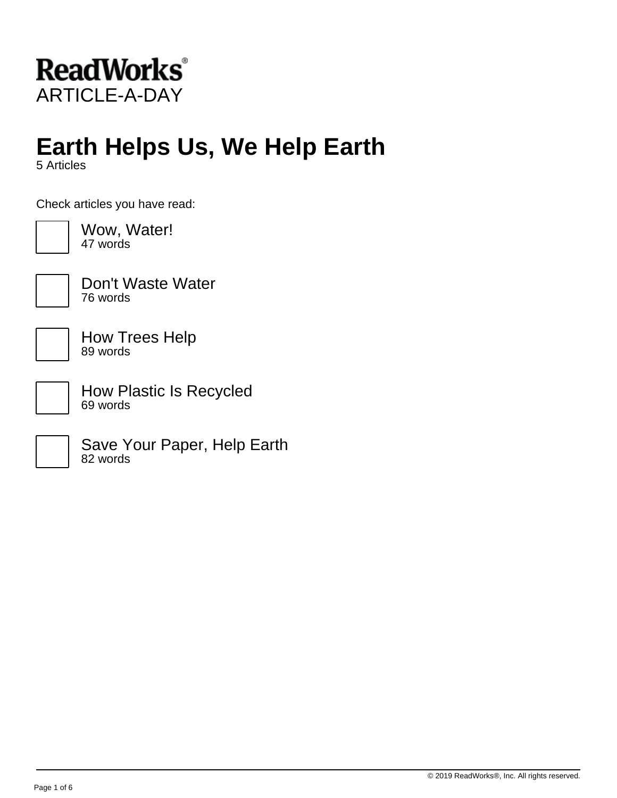

# **Earth Helps Us, We Help Earth**

5 Articles

Check articles you have read:



Wow, Water! 47 words



Don't Waste Water 76 words

How Trees Help 89 words

How Plastic Is Recycled 69 words

Save Your Paper, Help Earth 82 words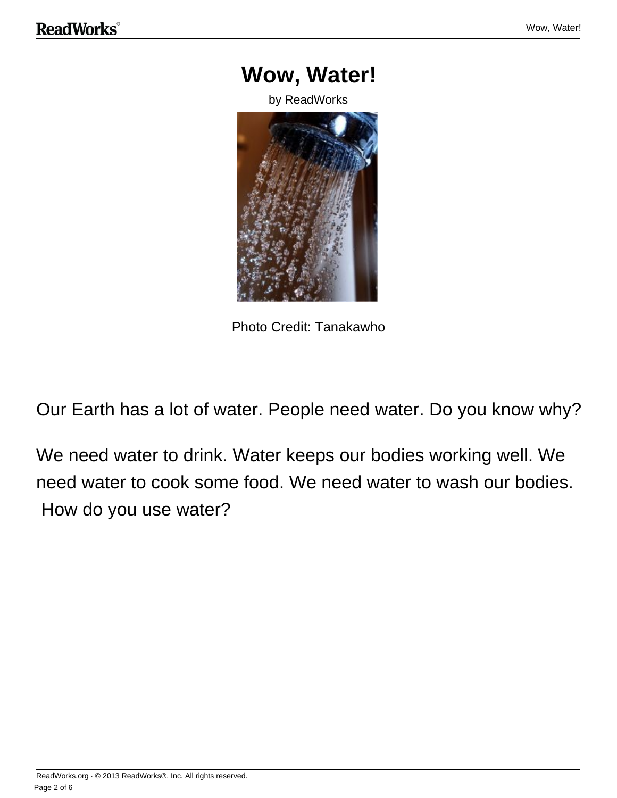



Our Earth has a lot of water. People need water. Do you know why?

We need water to drink. Water keeps our bodies working well. We need water to cook some food. We need water to wash our bodies. How do you use water?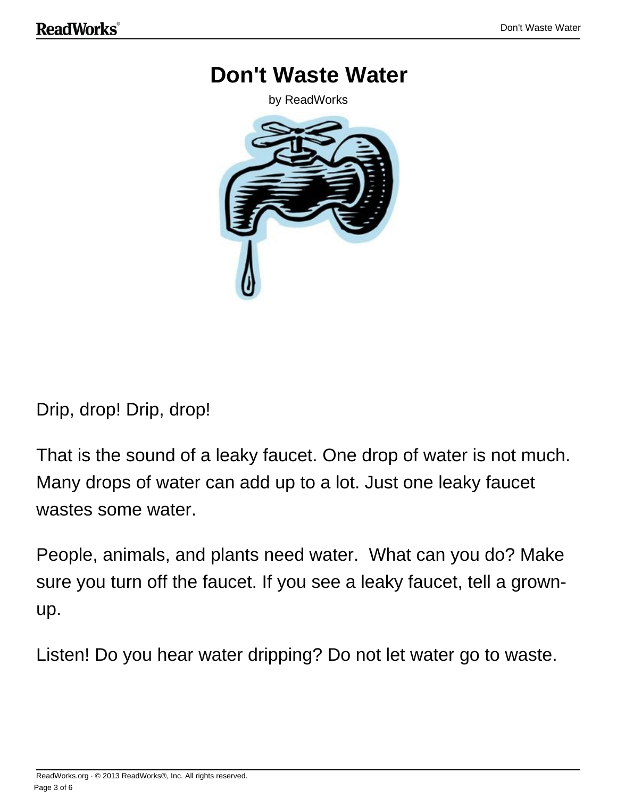### **Don't Waste Water**

by ReadWorks



Drip, drop! Drip, drop!

That is the sound of a leaky faucet. One drop of water is not much. Many drops of water can add up to a lot. Just one leaky faucet wastes some water.

People, animals, and plants need water. What can you do? Make sure you turn off the faucet. If you see a leaky faucet, tell a grownup.

Listen! Do you hear water dripping? Do not let water go to waste.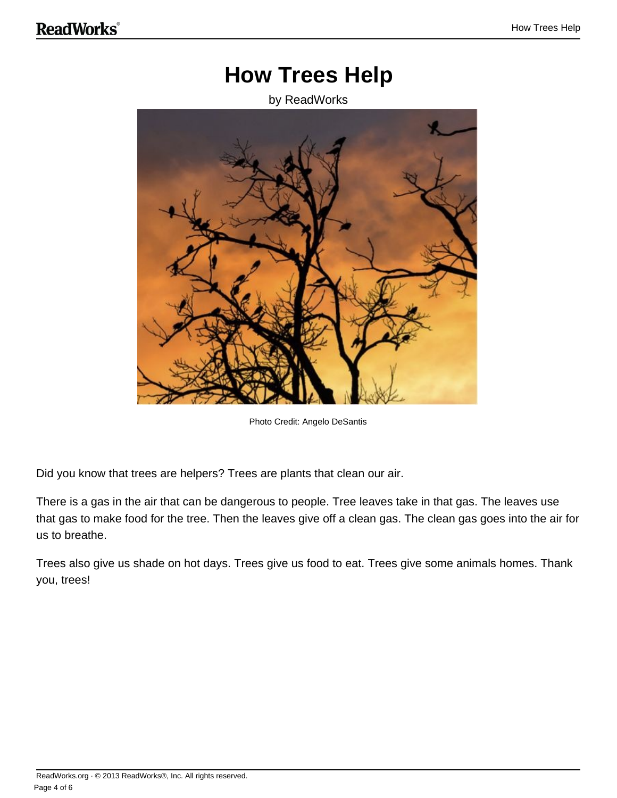### **How Trees Help**

#### by ReadWorks



Photo Credit: Angelo DeSantis

Did you know that trees are helpers? Trees are plants that clean our air.

There is a gas in the air that can be dangerous to people. Tree leaves take in that gas. The leaves use that gas to make food for the tree. Then the leaves give off a clean gas. The clean gas goes into the air for us to breathe.

Trees also give us shade on hot days. Trees give us food to eat. Trees give some animals homes. Thank you, trees!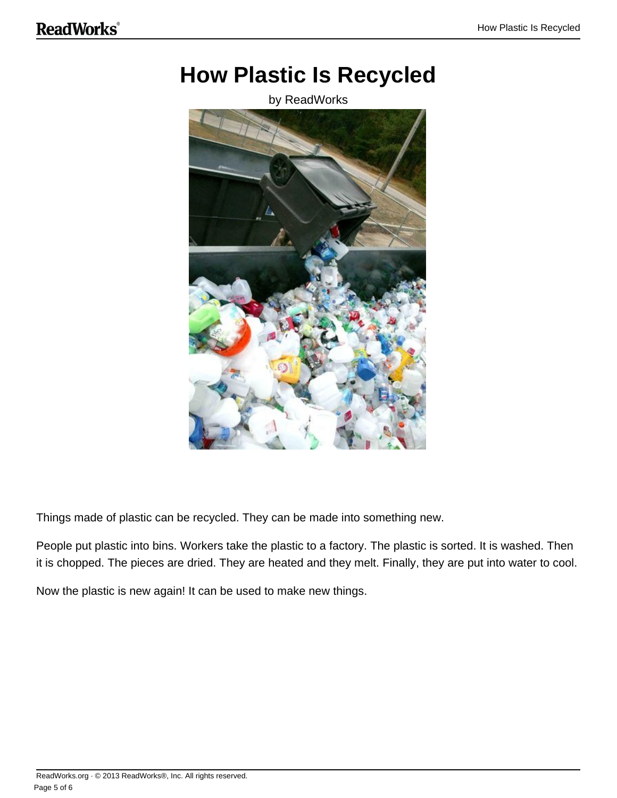## **How Plastic Is Recycled**

by ReadWorks



Things made of plastic can be recycled. They can be made into something new.

People put plastic into bins. Workers take the plastic to a factory. The plastic is sorted. It is washed. Then it is chopped. The pieces are dried. They are heated and they melt. Finally, they are put into water to cool.

Now the plastic is new again! It can be used to make new things.